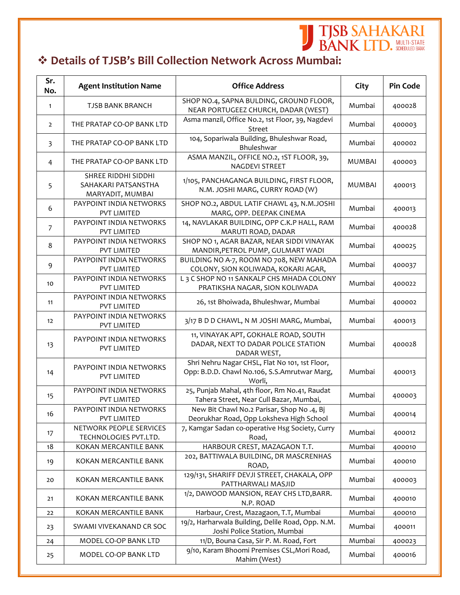## **Details of TJSB's Bill Collection Network Across Mumbai:**

**J TJSB SAHAKARI**<br>BANK LTD. SUBDUED BANK

| Sr.<br>No.     | <b>Agent Institution Name</b>                                  | <b>Office Address</b>                                                                                    | City          | <b>Pin Code</b> |
|----------------|----------------------------------------------------------------|----------------------------------------------------------------------------------------------------------|---------------|-----------------|
| $\mathbf{1}$   | <b>TJSB BANK BRANCH</b>                                        | SHOP NO.4, SAPNA BULDING, GROUND FLOOR,<br>NEAR PORTUGEEZ CHURCH, DADAR (WEST)                           | Mumbai        | 400028          |
| $\overline{2}$ | THE PRATAP CO-OP BANK LTD                                      | Asma manzil, Office No.2, 1st Floor, 39, Nagdevi<br>Street                                               | Mumbai        | 400003          |
| 3              | THE PRATAP CO-OP BANK LTD                                      | 104, Sopariwala Building, Bhuleshwar Road,<br>Bhuleshwar                                                 | Mumbai        | 400002          |
| 4              | THE PRATAP CO-OP BANK LTD                                      | ASMA MANZIL, OFFICE NO.2, 1ST FLOOR, 39,<br><b>NAGDEVI STREET</b>                                        | <b>MUMBAI</b> | 400003          |
| 5              | SHREE RIDDHI SIDDHI<br>SAHAKARI PATSANSTHA<br>MARYADIT, MUMBAI | 1/105, PANCHAGANGA BUILDING, FIRST FLOOR,<br>N.M. JOSHI MARG, CURRY ROAD (W)                             | <b>MUMBAI</b> | 400013          |
| 6              | PAYPOINT INDIA NETWORKS<br>PVT LIMITED                         | SHOP NO.2, ABDUL LATIF CHAWL 43, N.M.JOSHI<br>MARG, OPP. DEEPAK CINEMA                                   | Mumbai        | 400013          |
| 7              | PAYPOINT INDIA NETWORKS<br>PVT LIMITED                         | 14, NAVLAKAR BUILDING, OPP C.K.P HALL, RAM<br>MARUTI ROAD, DADAR                                         | Mumbai        | 400028          |
| 8              | PAYPOINT INDIA NETWORKS<br>PVT LIMITED                         | SHOP NO 1, AGAR BAZAR, NEAR SIDDI VINAYAK<br>MANDIR, PETROL PUMP, GULMART WADI                           | Mumbai        | 400025          |
| 9              | PAYPOINT INDIA NETWORKS<br>PVT LIMITED                         | BUILDING NO A-7, ROOM NO 708, NEW MAHADA<br>COLONY, SION KOLIWADA, KOKARI AGAR,                          | Mumbai        | 400037          |
| 10             | PAYPOINT INDIA NETWORKS<br>PVT LIMITED                         | L 3 C SHOP NO 11 SANKALP CHS MHADA COLONY<br>PRATIKSHA NAGAR, SION KOLIWADA                              | Mumbai        | 400022          |
| 11             | PAYPOINT INDIA NETWORKS<br>PVT LIMITED                         | 26, 1st Bhoiwada, Bhuleshwar, Mumbai                                                                     | Mumbai        | 400002          |
| 12             | PAYPOINT INDIA NETWORKS<br>PVT LIMITED                         | 3/17 B D D CHAWL, N M JOSHI MARG, Mumbai,                                                                | Mumbai        | 400013          |
| 13             | PAYPOINT INDIA NETWORKS<br>PVT LIMITED                         | 11, VINAYAK APT, GOKHALE ROAD, SOUTH<br>DADAR, NEXT TO DADAR POLICE STATION<br>DADAR WEST,               | Mumbai        | 400028          |
| 14             | PAYPOINT INDIA NETWORKS<br>PVT LIMITED                         | Shri Nehru Nagar CHSL, Flat No 101, 1st Floor,<br>Opp: B.D.D. Chawl No.106, S.S.Amrutwar Marg,<br>Worli, | Mumbai        | 400013          |
| 15             | PAYPOINT INDIA NETWORKS<br>PVT LIMITED                         | 25, Punjab Mahal, 4th floor, Rm No.41, Raudat<br>Tahera Street, Near Cull Bazar, Mumbai,                 | Mumbai        | 400003          |
| 16             | PAYPOINT INDIA NETWORKS<br>PVT LIMITED                         | New Bit Chawl No.2 Parisar, Shop No.4, Bj<br>Deorukhar Road, Opp Loksheva High School                    | Mumbai        | 400014          |
| 17             | NETWORK PEOPLE SERVICES<br>TECHNOLOGIES PVT.LTD.               | 7, Kamgar Sadan co-operative Hsg Society, Curry<br>Road,                                                 | Mumbai        | 400012          |
| 18             | KOKAN MERCANTILE BANK                                          | HARBOUR CREST, MAZAGAON T.T.                                                                             | Mumbai        | 400010          |
| 19             | KOKAN MERCANTILE BANK                                          | 202, BATTIWALA BUILDING, DR MASCRENHAS<br>ROAD,                                                          | Mumbai        | 400010          |
| 20             | KOKAN MERCANTILE BANK                                          | 129/131, SHARIFF DEVJI STREET, CHAKALA, OPP<br>PATTHARWALI MASJID                                        | Mumbai        | 400003          |
| 21             | KOKAN MERCANTILE BANK                                          | 1/2, DAWOOD MANSION, REAY CHS LTD, BARR.<br>N.P. ROAD                                                    | Mumbai        | 400010          |
| 22             | KOKAN MERCANTILE BANK                                          | Harbaur, Crest, Mazagaon, T.T, Mumbai                                                                    | Mumbai        | 400010          |
| 23             | SWAMI VIVEKANAND CR SOC                                        | 19/2, Harharwala Building, Delile Road, Opp. N.M.<br>Joshi Police Station, Mumbai                        | Mumbai        | 400011          |
| 24             | MODEL CO-OP BANK LTD                                           | 11/D, Bouna Casa, Sir P. M. Road, Fort                                                                   | Mumbai        | 400023          |
| 25             | MODEL CO-OP BANK LTD                                           | 9/10, Karam Bhoomi Premises CSL, Mori Road,<br>Mahim (West)                                              | Mumbai        | 400016          |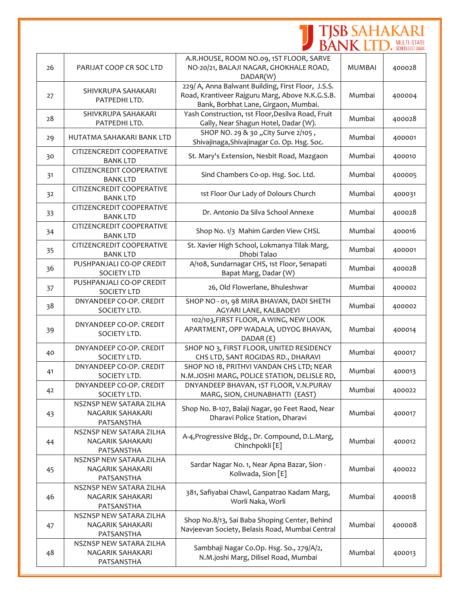|    |                                                           |                                                                                                                                               | <b>TJSB SAHAKARI</b><br>BANK LTD. SCHEDUED BANK |        |
|----|-----------------------------------------------------------|-----------------------------------------------------------------------------------------------------------------------------------------------|-------------------------------------------------|--------|
|    |                                                           |                                                                                                                                               |                                                 |        |
| 26 | PARIJAT COOP CR SOC LTD                                   | A.R.HOUSE, ROOM NO.09, 1ST FLOOR, SARVE<br>NO-20/21, BALAJI NAGAR, GHOKHALE ROAD,<br>DADAR(W)                                                 | <b>MUMBAI</b>                                   | 400028 |
| 27 | SHIVKRUPA SAHAKARI<br>PATPEDHI LTD.                       | 229/ A, Anna Balwant Building, First Floor, J.S.S.<br>Road, Krantiveer Rajguru Marg, Above N.K.G.S.B.<br>Bank, Borbhat Lane, Girgaon, Mumbai. | Mumbai                                          | 400004 |
| 28 | SHIVKRUPA SAHAKARI<br>PATPEDHI LTD.                       | Yash Construction, 1st Floor, Desilva Road, Fruit<br>Gally, Near Shagun Hotel, Dadar (W).                                                     | Mumbai                                          | 400028 |
| 29 | HUTATMA SAHAKARI BANK LTD                                 | SHOP NO. 29 & 30 "City Surve 2/105,<br>Shivajinaga, Shivajinagar Co. Op. Hsg. Soc.                                                            | Mumbai                                          | 400001 |
| 30 | CITIZENCREDIT COOPERATIVE<br><b>BANK LTD</b>              | St. Mary's Extension, Nesbit Road, Mazgaon                                                                                                    | Mumbai                                          | 400010 |
| 31 | CITIZENCREDIT COOPERATIVE<br><b>BANK LTD</b>              | Sind Chambers Co-op. Hsg. Soc. Ltd.                                                                                                           | Mumbai                                          | 400005 |
| 32 | CITIZENCREDIT COOPERATIVE<br><b>BANK LTD</b>              | 1st Floor Our Lady of Dolours Church                                                                                                          | Mumbai                                          | 400031 |
| 33 | CITIZENCREDIT COOPERATIVE<br><b>BANK LTD</b>              | Dr. Antonio Da Silva School Annexe                                                                                                            | Mumbai                                          | 400028 |
| 34 | CITIZENCREDIT COOPERATIVE<br><b>BANK LTD</b>              | Shop No. 1/3 Mahim Garden View CHSL                                                                                                           | Mumbai                                          | 400016 |
| 35 | CITIZENCREDIT COOPERATIVE<br><b>BANK LTD</b>              | St. Xavier High School, Lokmanya Tilak Marg,<br>Dhobi Talao                                                                                   | Mumbai                                          | 400001 |
| 36 | PUSHPANJALI CO-OP CREDIT<br><b>SOCIETY LTD</b>            | A/108, Sundarnagar CHS, 1st Floor, Senapati<br>Bapat Marg, Dadar (W)                                                                          | Mumbai                                          | 400028 |
| 37 | PUSHPANJALI CO-OP CREDIT<br><b>SOCIETY LTD</b>            | 26, Old Flowerlane, Bhuleshwar                                                                                                                | Mumbai                                          | 400002 |
| 38 | DNYANDEEP CO-OP. CREDIT<br>SOCIETY LTD.                   | SHOP NO - 01, 98 MIRA BHAVAN, DADI SHETH<br>AGYARI LANE, KALBADEVI                                                                            | Mumbai                                          | 400002 |
| 39 | DNYANDEEP CO-OP. CREDIT<br>SOCIETY LTD.                   | 102/103, FIRST FLOOR, A WING, NEW LOOK<br>APARTMENT, OPP WADALA, UDYOG BHAVAN,<br>DADAR (E)                                                   | Mumbai                                          | 400014 |
| 40 | DNYANDEEP CO-OP. CREDIT<br>SOCIETY LTD.                   | SHOP NO 3, FIRST FLOOR, UNITED RESIDENCY<br>CHS LTD, SANT ROGIDAS RD., DHARAVI                                                                | Mumbai                                          | 400017 |
| 41 | DNYANDEEP CO-OP. CREDIT<br>SOCIETY LTD.                   | SHOP NO 18, PRITHVI VANDAN CHS LTD; NEAR<br>N.M.JOSHI MARG, POLICE STATION, DELISLE RD,                                                       | Mumbai                                          | 400013 |
| 42 | DNYANDEEP CO-OP. CREDIT<br>SOCIETY LTD.                   | DNYANDEEP BHAVAN, 1ST FLOOR, V.N.PURAV<br>MARG, SION, CHUNABHATTI (EAST)                                                                      | Mumbai                                          | 400022 |
| 43 | NSZNSP NEW SATARA ZILHA<br>NAGARIK SAHAKARI<br>PATSANSTHA | Shop No. B-107, Balaji Nagar, 90 Feet Raod, Near<br>Dharavi Police Station, Dharavi                                                           | Mumbai                                          | 400017 |
| 44 | NSZNSP NEW SATARA ZILHA<br>NAGARIK SAHAKARI<br>PATSANSTHA | A-4, Progressive Bldg., Dr. Compound, D.L.Marg,<br>Chinchpokli [E]                                                                            | Mumbai                                          | 400012 |
| 45 | NSZNSP NEW SATARA ZILHA<br>NAGARIK SAHAKARI<br>PATSANSTHA | Sardar Nagar No. 1, Near Apna Bazar, Sion -<br>Koliwada, Sion [E]                                                                             | Mumbai                                          | 400022 |
| 46 | NSZNSP NEW SATARA ZILHA<br>NAGARIK SAHAKARI<br>PATSANSTHA | 381, Safiyabai Chawl, Ganpatrao Kadam Marg,<br>Worli Naka, Worli                                                                              | Mumbai                                          | 400018 |
| 47 | NSZNSP NEW SATARA ZILHA<br>NAGARIK SAHAKARI<br>PATSANSTHA | Shop No.8/13, Sai Baba Shoping Center, Behind<br>Navjeevan Society, Belasis Road, Mumbai Central                                              | Mumbai                                          | 400008 |
| 48 | NSZNSP NEW SATARA ZILHA<br>NAGARIK SAHAKARI<br>PATSANSTHA | Sambhaji Nagar Co.Op. Hsg. So., 279/A/2,<br>N.M.joshi Marg, Dilisel Road, Mumbai                                                              | Mumbai                                          | 400013 |